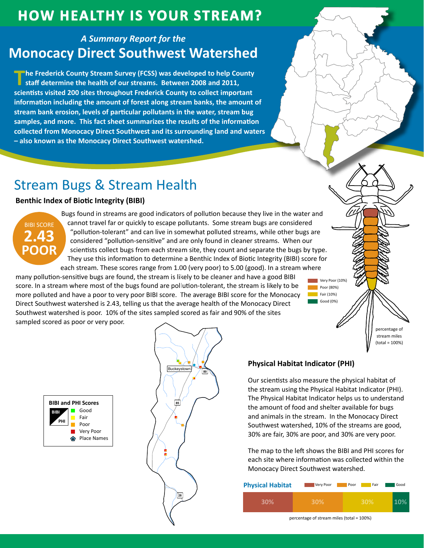## **HOW HEALTHY IS YOUR STREAM?**

### **A Summary Report for the Monocacy Direct Southwest Watershed**

The Frederick County Stream Survey (FCSS) was developed to help County staff determine the health of our streams. Between 2008 and 2011, scientists visited 200 sites throughout Frederick County to collect important information including the amount of forest along stream banks, the amount of stream bank erosion, levels of particular pollutants in the water, stream bug samples, and more. This fact sheet summarizes the results of the information collected from Monocacy Direct Southwest and its surrounding land and waters - also known as the Monocacy Direct Southwest watershed.

# **Stream Bugs & Stream Health**

### **Benthic Index of Biotic Integrity (BIBI)**



Bugs found in streams are good indicators of pollution because they live in the water and cannot travel far or quickly to escape pollutants. Some stream bugs are considered "pollution-tolerant" and can live in somewhat polluted streams, while other bugs are considered "pollution-sensitive" and are only found in cleaner streams. When our scientists collect bugs from each stream site, they count and separate the bugs by type. They use this information to determine a Benthic Index of Biotic Integrity (BIBI) score for each stream. These scores range from 1.00 (very poor) to 5.00 (good). In a stream where

many pollution-sensitive bugs are found, the stream is likely to be cleaner and have a good BIBI score. In a stream where most of the bugs found are pollution-tolerant, the stream is likely to be more polluted and have a poor to very poor BIBI score. The average BIBI score for the Monocacy Direct Southwest watershed is 2.43, telling us that the average health of the Monocacy Direct Southwest watershed is poor. 10% of the sites sampled scored as fair and 90% of the sites sampled scored as poor or very poor.

nercentage of stream miles  $(total = 100%)$ 





### **Physical Habitat Indicator (PHI)**

Our scientists also measure the physical habitat of the stream using the Physical Habitat Indicator (PHI). The Physical Habitat Indicator helps us to understand the amount of food and shelter available for bugs and animals in the stream. In the Monocacy Direct Southwest watershed, 10% of the streams are good, 30% are fair, 30% are poor, and 30% are very poor.

Very Poor (10%)

Poor (80%)

 $\overline{\phantom{a}}$  Fair (10%) Good (0%)

The map to the left shows the BIBI and PHI scores for each site where information was collected within the Monocacy Direct Southwest watershed.

| <b>Physical Habitat</b> | Very Poor | Fair<br>Poor | Good |
|-------------------------|-----------|--------------|------|
| 30%                     | 30%       | 30%          |      |

percentage of stream miles (total = 100%)